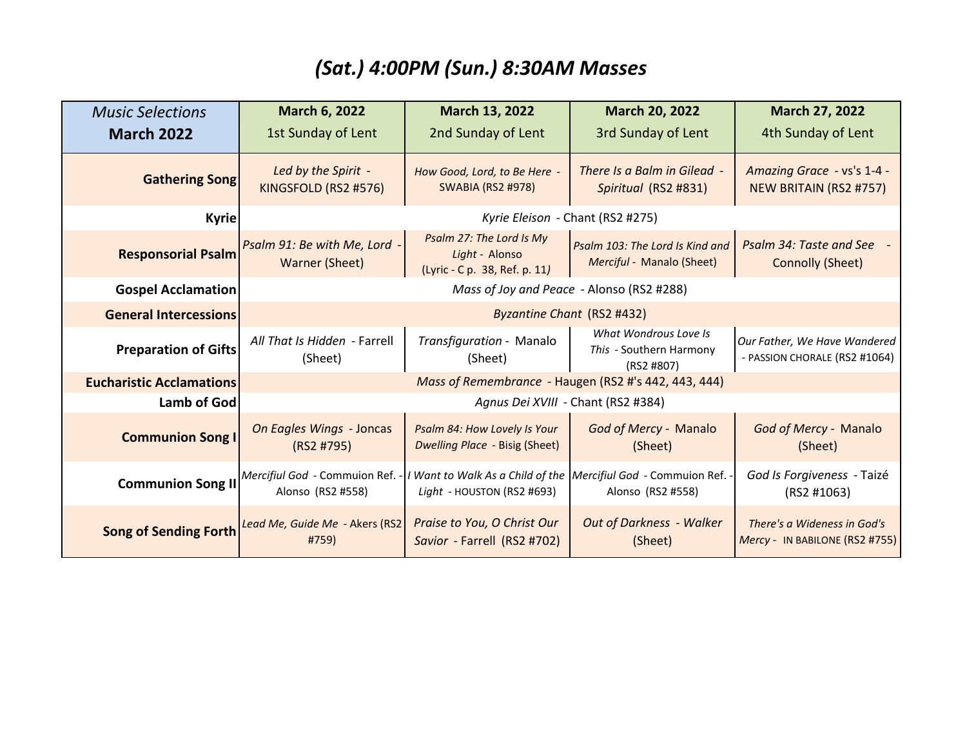## *(Sat.) 4:00PM (Sun.) 8:30AM Masses*

| <b>Music Selections</b>         | March 6, 2022                                                          | March 13, 2022                                                                                 | March 20, 2022                                                 | March 27, 2022                                                |  |
|---------------------------------|------------------------------------------------------------------------|------------------------------------------------------------------------------------------------|----------------------------------------------------------------|---------------------------------------------------------------|--|
| <b>March 2022</b>               | 1st Sunday of Lent                                                     | 2nd Sunday of Lent                                                                             | 3rd Sunday of Lent                                             | 4th Sunday of Lent                                            |  |
| <b>Gathering Song</b>           | Led by the Spirit -<br>KINGSFOLD (RS2 #576)                            | How Good, Lord, to Be Here -<br><b>SWABIA (RS2 #978)</b>                                       | There Is a Balm in Gilead -<br>Spiritual (RS2 #831)            | Amazing Grace - vs's 1-4 -<br><b>NEW BRITAIN (RS2 #757)</b>   |  |
| <b>Kyrie</b>                    | Kyrie Eleison - Chant (RS2 #275)                                       |                                                                                                |                                                                |                                                               |  |
| <b>Responsorial Psalm</b>       | Psalm 91: Be with Me, Lord<br>Warner (Sheet)                           | Psalm 27: The Lord Is My<br>Light - Alonso<br>(Lyric - C p. 38, Ref. p. 11)                    | Psalm 103: The Lord Is Kind and<br>Merciful - Manalo (Sheet)   | Psalm 34: Taste and See -<br>Connolly (Sheet)                 |  |
| <b>Gospel Acclamation</b>       | Mass of Joy and Peace - Alonso (RS2 #288)                              |                                                                                                |                                                                |                                                               |  |
| <b>General Intercessions</b>    | Byzantine Chant (RS2 #432)                                             |                                                                                                |                                                                |                                                               |  |
| <b>Preparation of Gifts</b>     | All That Is Hidden - Farrell<br>(Sheet)                                | Transfiguration - Manalo<br>(Sheet)                                                            | What Wondrous Love Is<br>This - Southern Harmony<br>(RS2 #807) | Our Father, We Have Wandered<br>- PASSION CHORALE (RS2 #1064) |  |
| <b>Eucharistic Acclamations</b> | Mass of Remembrance - Haugen (RS2 #'s 442, 443, 444)                   |                                                                                                |                                                                |                                                               |  |
| <b>Lamb of God</b>              | Agnus Dei XVIII - Chant (RS2 #384)                                     |                                                                                                |                                                                |                                                               |  |
| <b>Communion Song I</b>         | On Eagles Wings - Joncas<br>(RS2 #795)                                 | Psalm 84: How Lovely Is Your<br><b>Dwelling Place - Bisig (Sheet)</b>                          | God of Mercy - Manalo<br>(Sheet)                               | God of Mercy - Manalo<br>(Sheet)                              |  |
|                                 | Communion Song II Mercifiul God - Commuion Ref. -<br>Alonso (RS2 #558) | I Want to Walk As a Child of the Mercifiul God - Commuion Ref. -<br>Light - HOUSTON (RS2 #693) | Alonso (RS2 #558)                                              | God Is Forgiveness - Taizé<br>(RS2 #1063)                     |  |
| <b>Song of Sending Forth</b>    | Lead Me, Guide Me - Akers (RS2<br>#759)                                | Praise to You, O Christ Our<br>Savior - Farrell (RS2 #702)                                     | <b>Out of Darkness - Walker</b><br>(Sheet)                     | There's a Wideness in God's<br>Mercy - IN BABILONE (RS2 #755) |  |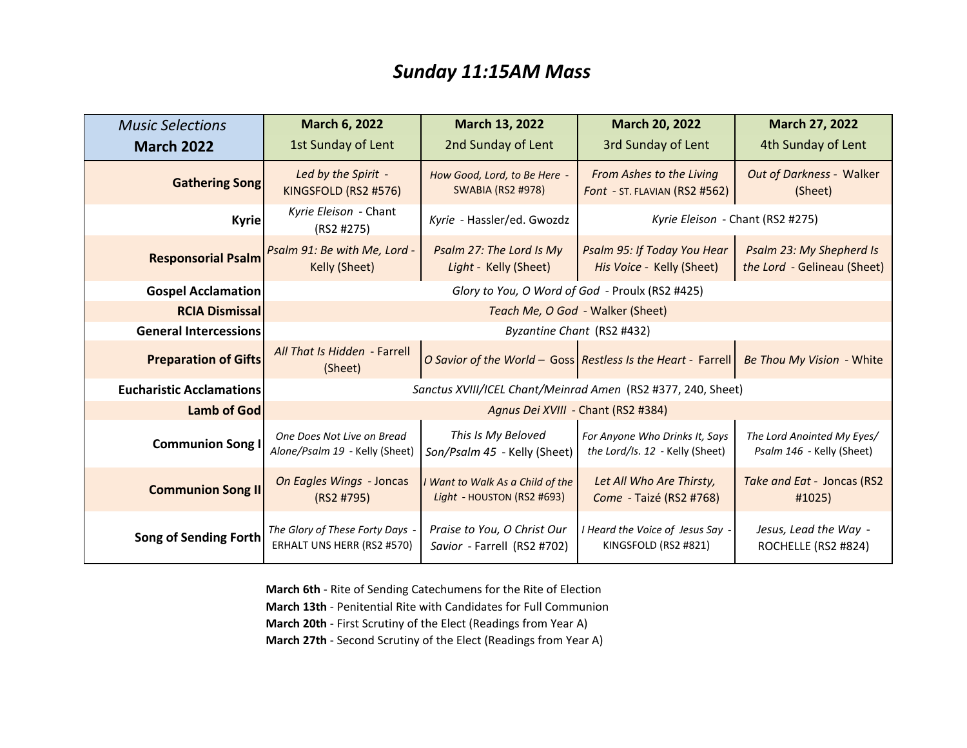## *Sunday 11:15AM Mass*

| <b>Music Selections</b>         | <b>March 6, 2022</b>                                          | March 13, 2022                                                 | <b>March 20, 2022</b>                                             | <b>March 27, 2022</b>                                   |  |
|---------------------------------|---------------------------------------------------------------|----------------------------------------------------------------|-------------------------------------------------------------------|---------------------------------------------------------|--|
| <b>March 2022</b>               | 1st Sunday of Lent                                            | 2nd Sunday of Lent                                             | 3rd Sunday of Lent                                                | 4th Sunday of Lent                                      |  |
| <b>Gathering Song</b>           | Led by the Spirit -<br>KINGSFOLD (RS2 #576)                   | How Good, Lord, to Be Here -<br><b>SWABIA (RS2 #978)</b>       | From Ashes to the Living<br>Font - ST. FLAVIAN (RS2 #562)         | Out of Darkness - Walker<br>(Sheet)                     |  |
| <b>Kyrie</b>                    | Kyrie Eleison - Chant<br>(RS2 #275)                           | Kyrie - Hassler/ed. Gwozdz                                     | Kyrie Eleison - Chant (RS2 #275)                                  |                                                         |  |
| <b>Responsorial Psalm</b>       | Psalm 91: Be with Me, Lord -<br>Kelly (Sheet)                 | Psalm 27: The Lord Is My<br>Light - Kelly (Sheet)              | Psalm 95: If Today You Hear<br>His Voice - Kelly (Sheet)          | Psalm 23: My Shepherd Is<br>the Lord - Gelineau (Sheet) |  |
| <b>Gospel Acclamation</b>       | Glory to You, O Word of God - Proulx (RS2 #425)               |                                                                |                                                                   |                                                         |  |
| <b>RCIA Dismissal</b>           | Teach Me, O God - Walker (Sheet)                              |                                                                |                                                                   |                                                         |  |
| <b>General Intercessions</b>    | Byzantine Chant (RS2 #432)                                    |                                                                |                                                                   |                                                         |  |
| <b>Preparation of Gifts</b>     | All That Is Hidden - Farrell<br>(Sheet)                       |                                                                | O Savior of the World - Goss Restless Is the Heart - Farrell      | Be Thou My Vision - White                               |  |
| <b>Eucharistic Acclamations</b> | Sanctus XVIII/ICEL Chant/Meinrad Amen (RS2 #377, 240, Sheet)  |                                                                |                                                                   |                                                         |  |
| <b>Lamb of God</b>              | Agnus Dei XVIII - Chant (RS2 #384)                            |                                                                |                                                                   |                                                         |  |
| <b>Communion Song</b>           | One Does Not Live on Bread<br>Alone/Psalm 19 - Kelly (Sheet)  | This Is My Beloved<br>Son/Psalm 45 - Kelly (Sheet)             | For Anyone Who Drinks It, Says<br>the Lord/Is. 12 - Kelly (Sheet) | The Lord Anointed My Eyes/<br>Psalm 146 - Kelly (Sheet) |  |
| <b>Communion Song II</b>        | On Eagles Wings - Joncas<br>(RS2 #795)                        | I Want to Walk As a Child of the<br>Light - HOUSTON (RS2 #693) | Let All Who Are Thirsty,<br>Come - Taizé (RS2 #768)               | Take and Eat - Joncas (RS2<br>#1025)                    |  |
| <b>Song of Sending Forth</b>    | The Glory of These Forty Days -<br>ERHALT UNS HERR (RS2 #570) | Praise to You, O Christ Our<br>Savior - Farrell (RS2 #702)     | I Heard the Voice of Jesus Say -<br>KINGSFOLD (RS2 #821)          | Jesus, Lead the Way -<br>ROCHELLE (RS2 #824)            |  |

**March 6th** - Rite of Sending Catechumens for the Rite of Election **March 13th** - Penitential Rite with Candidates for Full Communion **March 20th** - First Scrutiny of the Elect (Readings from Year A) **March 27th** - Second Scrutiny of the Elect (Readings from Year A)